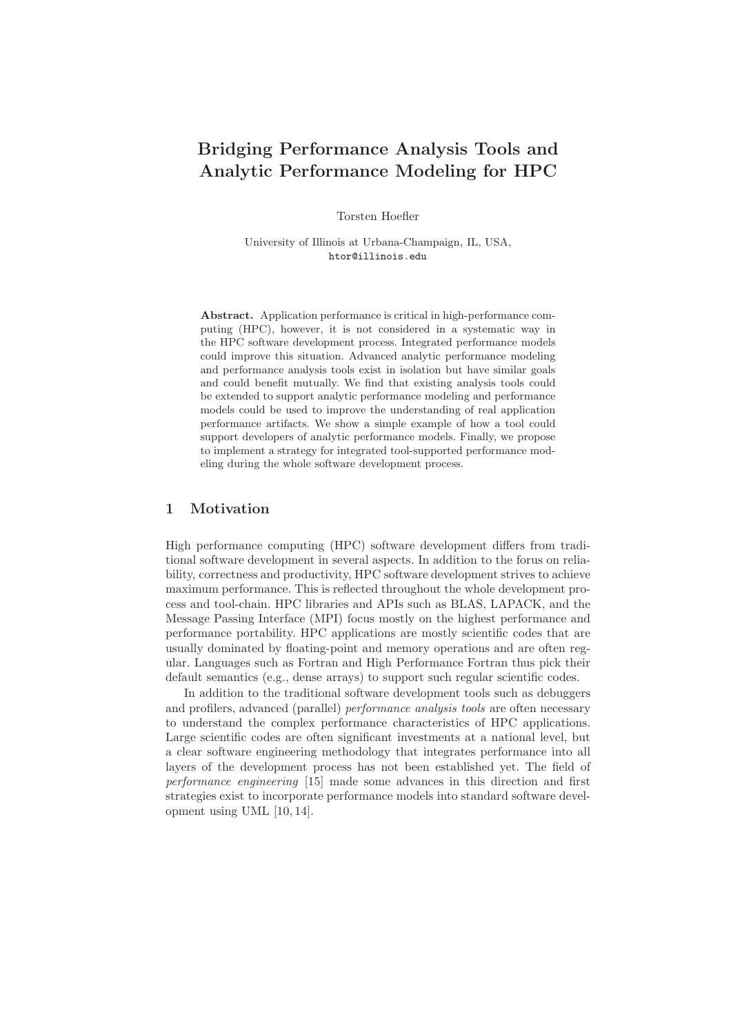# Bridging Performance Analysis Tools and Analytic Performance Modeling for HPC

Torsten Hoefler

University of Illinois at Urbana-Champaign, IL, USA, htor@illinois.edu

Abstract. Application performance is critical in high-performance computing (HPC), however, it is not considered in a systematic way in the HPC software development process. Integrated performance models could improve this situation. Advanced analytic performance modeling and performance analysis tools exist in isolation but have similar goals and could benefit mutually. We find that existing analysis tools could be extended to support analytic performance modeling and performance models could be used to improve the understanding of real application performance artifacts. We show a simple example of how a tool could support developers of analytic performance models. Finally, we propose to implement a strategy for integrated tool-supported performance modeling during the whole software development process.

## 1 Motivation

High performance computing (HPC) software development differs from traditional software development in several aspects. In addition to the forus on reliability, correctness and productivity, HPC software development strives to achieve maximum performance. This is reflected throughout the whole development process and tool-chain. HPC libraries and APIs such as BLAS, LAPACK, and the Message Passing Interface (MPI) focus mostly on the highest performance and performance portability. HPC applications are mostly scientific codes that are usually dominated by floating-point and memory operations and are often regular. Languages such as Fortran and High Performance Fortran thus pick their default semantics (e.g., dense arrays) to support such regular scientific codes.

In addition to the traditional software development tools such as debuggers and profilers, advanced (parallel) performance analysis tools are often necessary to understand the complex performance characteristics of HPC applications. Large scientific codes are often significant investments at a national level, but a clear software engineering methodology that integrates performance into all layers of the development process has not been established yet. The field of performance engineering [15] made some advances in this direction and first strategies exist to incorporate performance models into standard software development using UML [10, 14].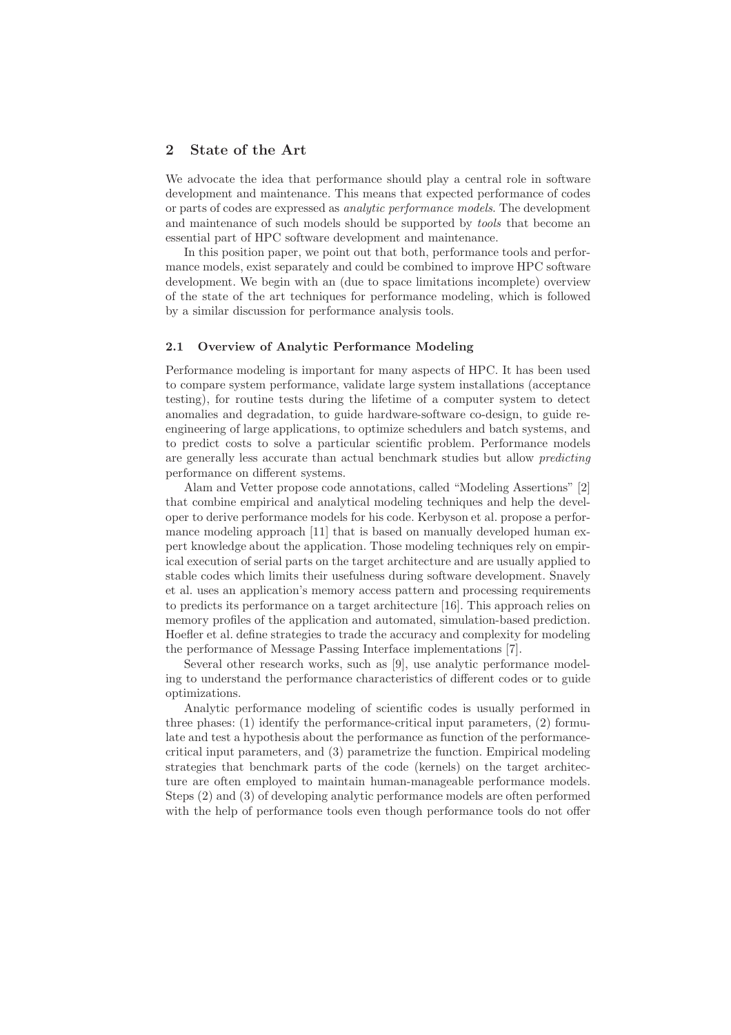## 2 State of the Art

We advocate the idea that performance should play a central role in software development and maintenance. This means that expected performance of codes or parts of codes are expressed as analytic performance models. The development and maintenance of such models should be supported by *tools* that become an essential part of HPC software development and maintenance.

In this position paper, we point out that both, performance tools and performance models, exist separately and could be combined to improve HPC software development. We begin with an (due to space limitations incomplete) overview of the state of the art techniques for performance modeling, which is followed by a similar discussion for performance analysis tools.

#### 2.1 Overview of Analytic Performance Modeling

Performance modeling is important for many aspects of HPC. It has been used to compare system performance, validate large system installations (acceptance testing), for routine tests during the lifetime of a computer system to detect anomalies and degradation, to guide hardware-software co-design, to guide reengineering of large applications, to optimize schedulers and batch systems, and to predict costs to solve a particular scientific problem. Performance models are generally less accurate than actual benchmark studies but allow predicting performance on different systems.

Alam and Vetter propose code annotations, called "Modeling Assertions" [2] that combine empirical and analytical modeling techniques and help the developer to derive performance models for his code. Kerbyson et al. propose a performance modeling approach [11] that is based on manually developed human expert knowledge about the application. Those modeling techniques rely on empirical execution of serial parts on the target architecture and are usually applied to stable codes which limits their usefulness during software development. Snavely et al. uses an application's memory access pattern and processing requirements to predicts its performance on a target architecture [16]. This approach relies on memory profiles of the application and automated, simulation-based prediction. Hoefler et al. define strategies to trade the accuracy and complexity for modeling the performance of Message Passing Interface implementations [7].

Several other research works, such as [9], use analytic performance modeling to understand the performance characteristics of different codes or to guide optimizations.

Analytic performance modeling of scientific codes is usually performed in three phases:  $(1)$  identify the performance-critical input parameters,  $(2)$  formulate and test a hypothesis about the performance as function of the performancecritical input parameters, and (3) parametrize the function. Empirical modeling strategies that benchmark parts of the code (kernels) on the target architecture are often employed to maintain human-manageable performance models. Steps (2) and (3) of developing analytic performance models are often performed with the help of performance tools even though performance tools do not offer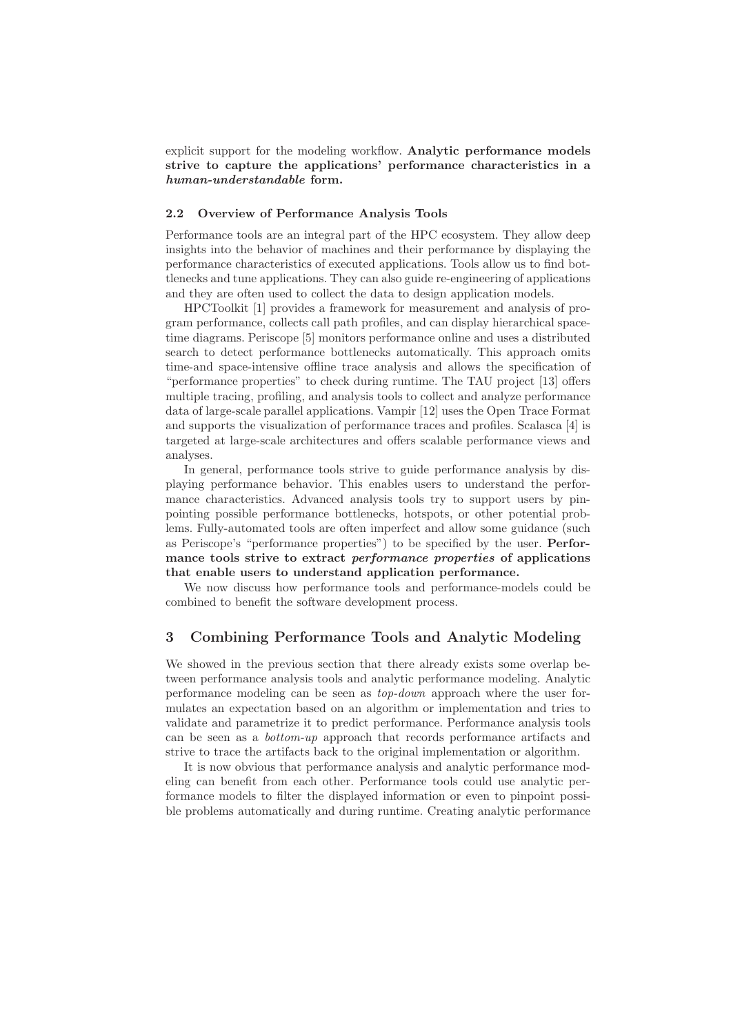explicit support for the modeling workflow. Analytic performance models strive to capture the applications' performance characteristics in a human-understandable form.

#### 2.2 Overview of Performance Analysis Tools

Performance tools are an integral part of the HPC ecosystem. They allow deep insights into the behavior of machines and their performance by displaying the performance characteristics of executed applications. Tools allow us to find bottlenecks and tune applications. They can also guide re-engineering of applications and they are often used to collect the data to design application models.

HPCToolkit [1] provides a framework for measurement and analysis of program performance, collects call path profiles, and can display hierarchical spacetime diagrams. Periscope [5] monitors performance online and uses a distributed search to detect performance bottlenecks automatically. This approach omits time-and space-intensive offline trace analysis and allows the specification of "performance properties" to check during runtime. The TAU project [13] offers multiple tracing, profiling, and analysis tools to collect and analyze performance data of large-scale parallel applications. Vampir [12] uses the Open Trace Format and supports the visualization of performance traces and profiles. Scalasca [4] is targeted at large-scale architectures and offers scalable performance views and analyses.

In general, performance tools strive to guide performance analysis by displaying performance behavior. This enables users to understand the performance characteristics. Advanced analysis tools try to support users by pinpointing possible performance bottlenecks, hotspots, or other potential problems. Fully-automated tools are often imperfect and allow some guidance (such as Periscope's "performance properties") to be specified by the user. Performance tools strive to extract performance properties of applications that enable users to understand application performance.

We now discuss how performance tools and performance-models could be combined to benefit the software development process.

## 3 Combining Performance Tools and Analytic Modeling

We showed in the previous section that there already exists some overlap between performance analysis tools and analytic performance modeling. Analytic performance modeling can be seen as top-down approach where the user formulates an expectation based on an algorithm or implementation and tries to validate and parametrize it to predict performance. Performance analysis tools can be seen as a bottom-up approach that records performance artifacts and strive to trace the artifacts back to the original implementation or algorithm.

It is now obvious that performance analysis and analytic performance modeling can benefit from each other. Performance tools could use analytic performance models to filter the displayed information or even to pinpoint possible problems automatically and during runtime. Creating analytic performance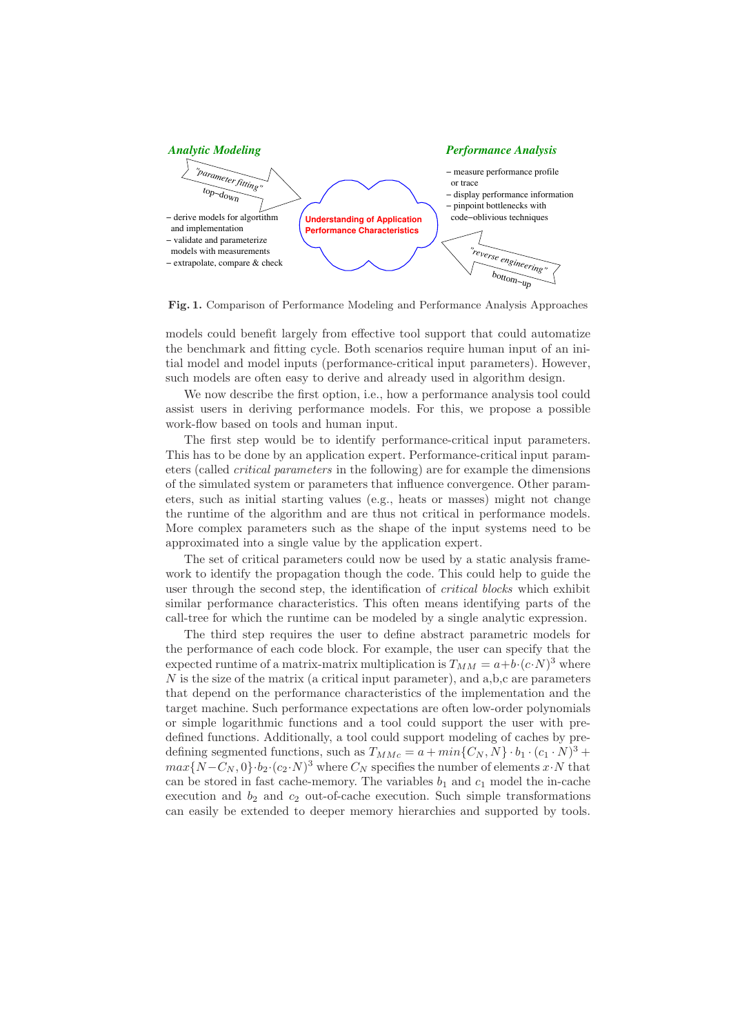

Fig. 1. Comparison of Performance Modeling and Performance Analysis Approaches

models could benefit largely from effective tool support that could automatize the benchmark and fitting cycle. Both scenarios require human input of an initial model and model inputs (performance-critical input parameters). However, such models are often easy to derive and already used in algorithm design.

We now describe the first option, i.e., how a performance analysis tool could assist users in deriving performance models. For this, we propose a possible work-flow based on tools and human input.

The first step would be to identify performance-critical input parameters. This has to be done by an application expert. Performance-critical input parameters (called critical parameters in the following) are for example the dimensions of the simulated system or parameters that influence convergence. Other parameters, such as initial starting values (e.g., heats or masses) might not change the runtime of the algorithm and are thus not critical in performance models. More complex parameters such as the shape of the input systems need to be approximated into a single value by the application expert.

The set of critical parameters could now be used by a static analysis framework to identify the propagation though the code. This could help to guide the user through the second step, the identification of *critical blocks* which exhibit similar performance characteristics. This often means identifying parts of the call-tree for which the runtime can be modeled by a single analytic expression.

The third step requires the user to define abstract parametric models for the performance of each code block. For example, the user can specify that the expected runtime of a matrix-matrix multiplication is  $T_{MM} = a+b \cdot (c \cdot N)^3$  where  $N$  is the size of the matrix (a critical input parameter), and a,b,c are parameters that depend on the performance characteristics of the implementation and the target machine. Such performance expectations are often low-order polynomials or simple logarithmic functions and a tool could support the user with predefined functions. Additionally, a tool could support modeling of caches by predefining segmented functions, such as  $T_{MMc} = a + min\{C_N, N\} \cdot b_1 \cdot (c_1 \cdot N)^3 +$  $max\{\widetilde{N}-\widetilde{C}_N,0\}\cdot b_2\cdot (c_2\cdot N)^3$  where  $C_N$  specifies the number of elements  $x\cdot N$  that can be stored in fast cache-memory. The variables  $b_1$  and  $c_1$  model the in-cache execution and  $b_2$  and  $c_2$  out-of-cache execution. Such simple transformations can easily be extended to deeper memory hierarchies and supported by tools.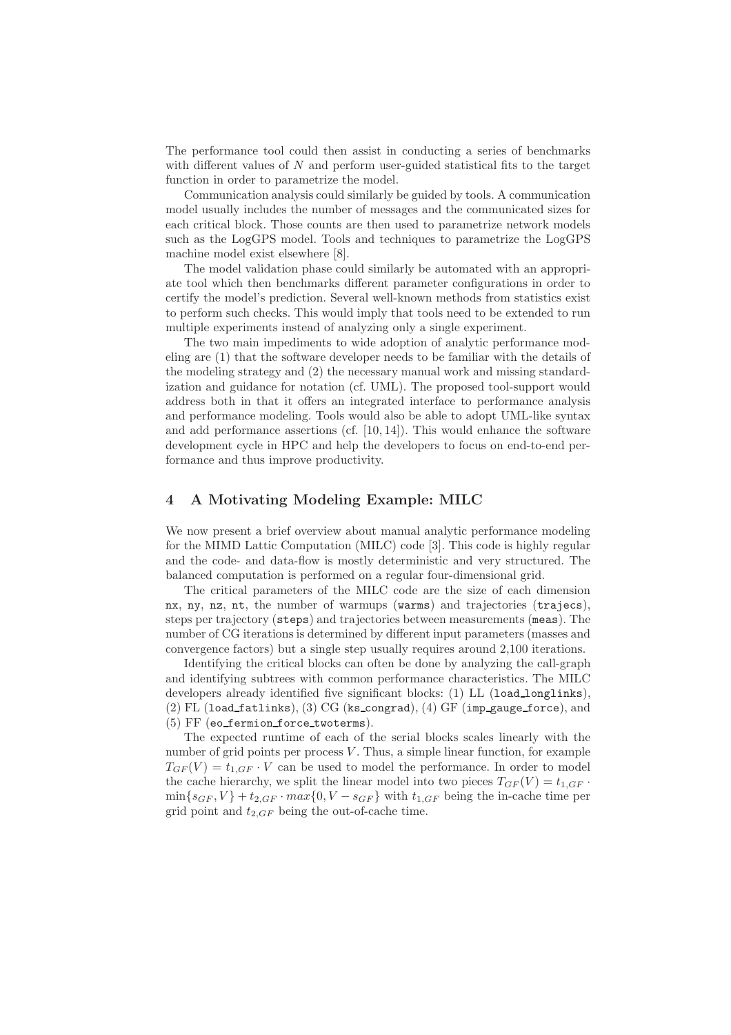The performance tool could then assist in conducting a series of benchmarks with different values of N and perform user-guided statistical fits to the target function in order to parametrize the model.

Communication analysis could similarly be guided by tools. A communication model usually includes the number of messages and the communicated sizes for each critical block. Those counts are then used to parametrize network models such as the LogGPS model. Tools and techniques to parametrize the LogGPS machine model exist elsewhere [8].

The model validation phase could similarly be automated with an appropriate tool which then benchmarks different parameter configurations in order to certify the model's prediction. Several well-known methods from statistics exist to perform such checks. This would imply that tools need to be extended to run multiple experiments instead of analyzing only a single experiment.

The two main impediments to wide adoption of analytic performance modeling are (1) that the software developer needs to be familiar with the details of the modeling strategy and (2) the necessary manual work and missing standardization and guidance for notation (cf. UML). The proposed tool-support would address both in that it offers an integrated interface to performance analysis and performance modeling. Tools would also be able to adopt UML-like syntax and add performance assertions (cf.  $[10, 14]$ ). This would enhance the software development cycle in HPC and help the developers to focus on end-to-end performance and thus improve productivity.

### 4 A Motivating Modeling Example: MILC

We now present a brief overview about manual analytic performance modeling for the MIMD Lattic Computation (MILC) code [3]. This code is highly regular and the code- and data-flow is mostly deterministic and very structured. The balanced computation is performed on a regular four-dimensional grid.

The critical parameters of the MILC code are the size of each dimension nx, ny, nz, nt, the number of warmups (warms) and trajectories (trajecs), steps per trajectory (steps) and trajectories between measurements (meas). The number of CG iterations is determined by different input parameters (masses and convergence factors) but a single step usually requires around 2,100 iterations.

Identifying the critical blocks can often be done by analyzing the call-graph and identifying subtrees with common performance characteristics. The MILC developers already identified five significant blocks: (1) LL (load\_longlinks), (2) FL (load fatlinks), (3) CG (ks congrad), (4) GF (imp gauge force), and (5) FF (eo fermion force twoterms).

The expected runtime of each of the serial blocks scales linearly with the number of grid points per process  $V$ . Thus, a simple linear function, for example  $T_{GF}(V) = t_{1,GF} \cdot V$  can be used to model the performance. In order to model the cache hierarchy, we split the linear model into two pieces  $T_{GF}(V) = t_{1,GF}$ .  $\min\{s_{GF}, V\} + t_{2,GF} \cdot max\{0, V - s_{GF}\}\$  with  $t_{1,GF}$  being the in-cache time per grid point and  $t_{2,GF}$  being the out-of-cache time.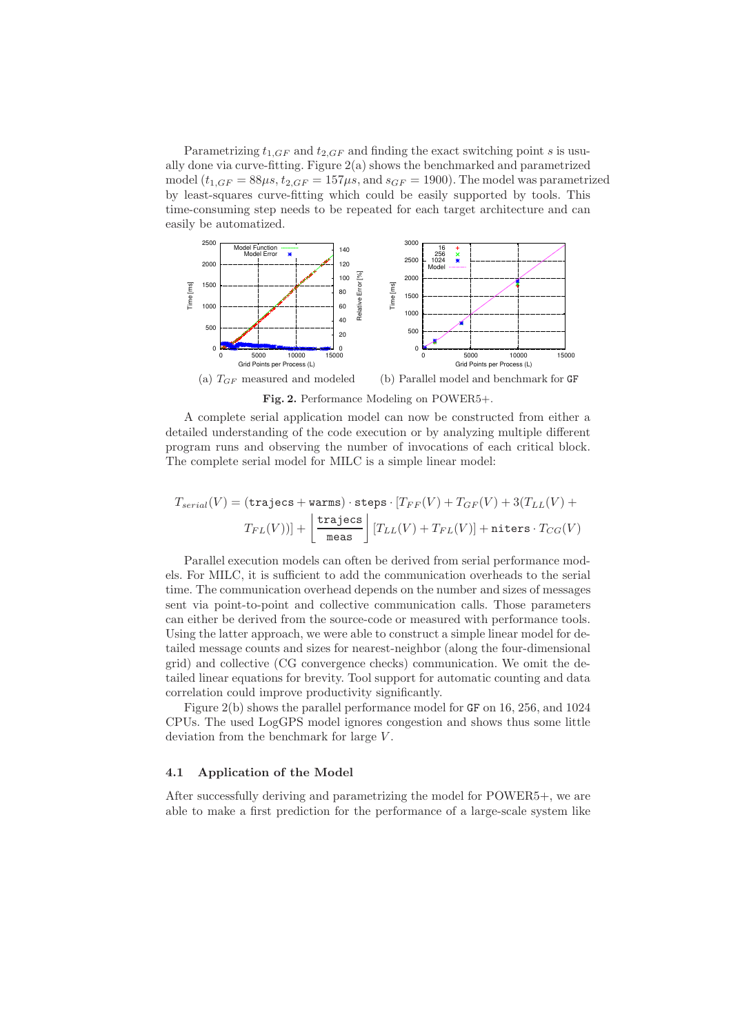Parametrizing  $t_{1,GF}$  and  $t_{2,GF}$  and finding the exact switching point s is usually done via curve-fitting. Figure 2(a) shows the benchmarked and parametrized model  $(t_{1,GF} = 88\mu s, t_{2,GF} = 157\mu s,$  and  $s_{GF} = 1900$ . The model was parametrized by least-squares curve-fitting which could be easily supported by tools. This time-consuming step needs to be repeated for each target architecture and can easily be automatized.



Fig. 2. Performance Modeling on POWER5+.

A complete serial application model can now be constructed from either a detailed understanding of the code execution or by analyzing multiple different program runs and observing the number of invocations of each critical block. The complete serial model for MILC is a simple linear model:

$$
T_{serial}(V) = (\text{trajecs} + \text{warms}) \cdot \text{steps} \cdot [T_{FF}(V) + T_{GF}(V) + 3(T_{LL}(V) + T_{FL}(V))] + \left\lfloor \frac{\text{trajecs}}{\text{meas}} \right\rfloor [T_{LL}(V) + T_{FL}(V)] + \text{niters} \cdot T_{CG}(V)
$$

Parallel execution models can often be derived from serial performance models. For MILC, it is sufficient to add the communication overheads to the serial time. The communication overhead depends on the number and sizes of messages sent via point-to-point and collective communication calls. Those parameters can either be derived from the source-code or measured with performance tools. Using the latter approach, we were able to construct a simple linear model for detailed message counts and sizes for nearest-neighbor (along the four-dimensional grid) and collective (CG convergence checks) communication. We omit the detailed linear equations for brevity. Tool support for automatic counting and data correlation could improve productivity significantly.

Figure 2(b) shows the parallel performance model for GF on 16, 256, and 1024 CPUs. The used LogGPS model ignores congestion and shows thus some little deviation from the benchmark for large V.

#### 4.1 Application of the Model

After successfully deriving and parametrizing the model for POWER5+, we are able to make a first prediction for the performance of a large-scale system like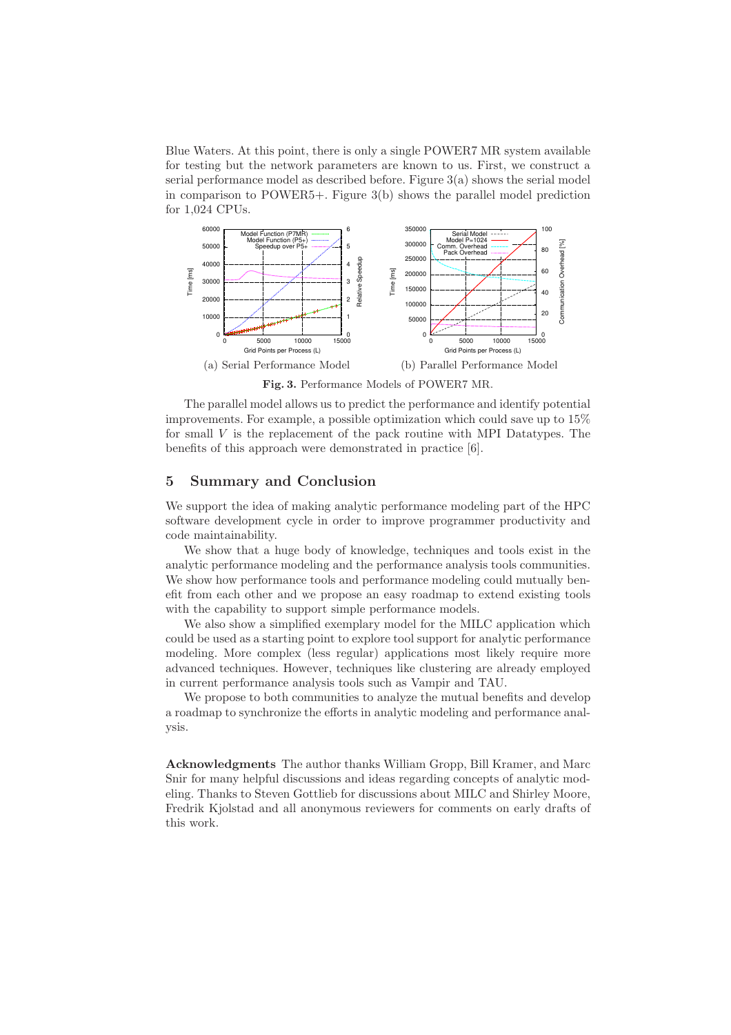Blue Waters. At this point, there is only a single POWER7 MR system available for testing but the network parameters are known to us. First, we construct a serial performance model as described before. Figure 3(a) shows the serial model in comparison to POWER5+. Figure 3(b) shows the parallel model prediction for 1,024 CPUs.



Fig. 3. Performance Models of POWER7 MR.

The parallel model allows us to predict the performance and identify potential improvements. For example, a possible optimization which could save up to 15% for small V is the replacement of the pack routine with MPI Datatypes. The benefits of this approach were demonstrated in practice [6].

# 5 Summary and Conclusion

We support the idea of making analytic performance modeling part of the HPC software development cycle in order to improve programmer productivity and code maintainability.

We show that a huge body of knowledge, techniques and tools exist in the analytic performance modeling and the performance analysis tools communities. We show how performance tools and performance modeling could mutually benefit from each other and we propose an easy roadmap to extend existing tools with the capability to support simple performance models.

We also show a simplified exemplary model for the MILC application which could be used as a starting point to explore tool support for analytic performance modeling. More complex (less regular) applications most likely require more advanced techniques. However, techniques like clustering are already employed in current performance analysis tools such as Vampir and TAU.

We propose to both communities to analyze the mutual benefits and develop a roadmap to synchronize the efforts in analytic modeling and performance analysis.

Acknowledgments The author thanks William Gropp, Bill Kramer, and Marc Snir for many helpful discussions and ideas regarding concepts of analytic modeling. Thanks to Steven Gottlieb for discussions about MILC and Shirley Moore, Fredrik Kjolstad and all anonymous reviewers for comments on early drafts of this work.